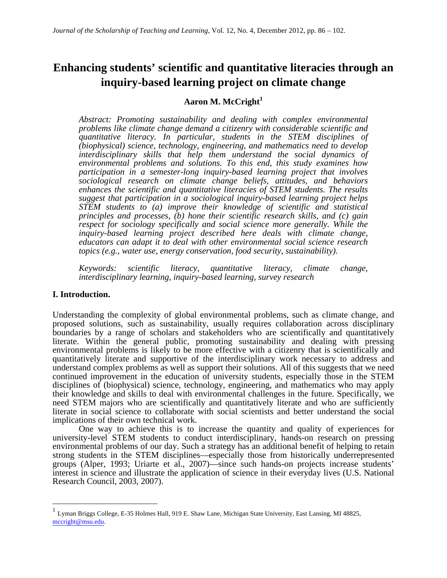# **Enhancing students' scientific and quantitative literacies through an inquiry-based learning project on climate change**

### **Aaron M. McCright<sup>1</sup>**

*Abstract: Promoting sustainability and dealing with complex environmental problems like climate change demand a citizenry with considerable scientific and quantitative literacy. In particular, students in the STEM disciplines of (biophysical) science, technology, engineering, and mathematics need to develop interdisciplinary skills that help them understand the social dynamics of environmental problems and solutions. To this end, this study examines how participation in a semester-long inquiry-based learning project that involves sociological research on climate change beliefs, attitudes, and behaviors enhances the scientific and quantitative literacies of STEM students. The results suggest that participation in a sociological inquiry-based learning project helps STEM students to (a) improve their knowledge of scientific and statistical principles and processes, (b) hone their scientific research skills, and (c) gain respect for sociology specifically and social science more generally. While the inquiry-based learning project described here deals with climate change, educators can adapt it to deal with other environmental social science research topics (e.g., water use, energy conservation, food security, sustainability).*

*Keywords: scientific literacy, quantitative literacy, climate change, interdisciplinary learning, inquiry-based learning, survey research*

### **I. Introduction.**

Understanding the complexity of global environmental problems, such as climate change, and proposed solutions, such as sustainability, usually requires collaboration across disciplinary boundaries by a range of scholars and stakeholders who are scientifically and quantitatively literate. Within the general public, promoting sustainability and dealing with pressing environmental problems is likely to be more effective with a citizenry that is scientifically and quantitatively literate and supportive of the interdisciplinary work necessary to address and understand complex problems as well as support their solutions. All of this suggests that we need continued improvement in the education of university students, especially those in the STEM disciplines of (biophysical) science, technology, engineering, and mathematics who may apply their knowledge and skills to deal with environmental challenges in the future. Specifically, we need STEM majors who are scientifically and quantitatively literate and who are sufficiently literate in social science to collaborate with social scientists and better understand the social implications of their own technical work.

One way to achieve this is to increase the quantity and quality of experiences for university-level STEM students to conduct interdisciplinary, hands-on research on pressing environmental problems of our day. Such a strategy has an additional benefit of helping to retain strong students in the STEM disciplines—especially those from historically underrepresented groups (Alper, 1993; Uriarte et al., 2007)—since such hands-on projects increase students' interest in science and illustrate the application of science in their everyday lives (U.S. National Research Council, 2003, 2007).

 <sup>1</sup> Lyman Briggs College, E-35 Holmes Hall, 919 E. Shaw Lane, Michigan State University, East Lansing, MI 48825, mccright@msu.edu.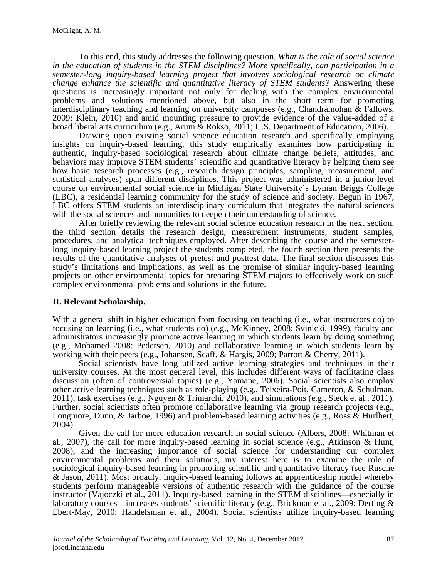To this end, this study addresses the following question. *What is the role of social science in the education of students in the STEM disciplines? More specifically, can participation in a semester-long inquiry-based learning project that involves sociological research on climate change enhance the scientific and quantitative literacy of STEM students?* Answering these questions is increasingly important not only for dealing with the complex environmental problems and solutions mentioned above, but also in the short term for promoting interdisciplinary teaching and learning on university campuses (e.g., Chandramohan & Fallows, 2009; Klein, 2010) and amid mounting pressure to provide evidence of the value-added of a broad liberal arts curriculum (e.g., Arum & Rokso, 2011; U.S. Department of Education, 2006).

Drawing upon existing social science education research and specifically employing insights on inquiry-based learning, this study empirically examines how participating in authentic, inquiry-based sociological research about climate change beliefs, attitudes, and behaviors may improve STEM students' scientific and quantitative literacy by helping them see how basic research processes (e.g., research design principles, sampling, measurement, and statistical analyses) span different disciplines. This project was administered in a junior-level course on environmental social science in Michigan State University's Lyman Briggs College (LBC), a residential learning community for the study of science and society. Begun in 1967, LBC offers STEM students an interdisciplinary curriculum that integrates the natural sciences with the social sciences and humanities to deepen their understanding of science.

After briefly reviewing the relevant social science education research in the next section, the third section details the research design, measurement instruments, student samples, procedures, and analytical techniques employed. After describing the course and the semester- long inquiry-based learning project the students completed, the fourth section then presents the results of the quantitative analyses of pretest and posttest data. The final section discusses this study's limitations and implications, as well as the promise of similar inquiry-based learning projects on other environmental topics for preparing STEM majors to effectively work on such complex environmental problems and solutions in the future.

### **II. Relevant Scholarship.**

With a general shift in higher education from focusing on teaching (i.e., what instructors do) to focusing on learning (i.e., what students do) (e.g., McKinney, 2008; Svinicki, 1999), faculty and administrators increasingly promote active learning in which students learn by doing something (e.g., Mohamed 2008; Pedersen, 2010) and collaborative learning in which students learn by working with their peers (e.g., Johansen, Scaff, & Hargis, 2009; Parrott & Cherry, 2011).

Social scientists have long utilized active learning strategies and techniques in their university courses. At the most general level, this includes different ways of facilitating class discussion (often of controversial topics) (e.g., Yamane, 2006). Social scientists also employ other active learning techniques such as role-playing (e.g., Teixeira-Poit, Cameron, & Schulman, 2011), task exercises (e.g., Nguyen & Trimarchi, 2010), and simulations (e.g., Steck et al., 2011). Further, social scientists often promote collaborative learning via group research projects (e.g., Longmore, Dunn, & Jarboe, 1996) and problem-based learning activities (e.g., Ross & Hurlbert, 2004).

Given the call for more education research in social science (Albers, 2008; Whitman et al., 2007), the call for more inquiry-based learning in social science (e.g., Atkinson  $\&$  Hunt, 2008), and the increasing importance of social science for understanding our complex environmental problems and their solutions, my interest here is to examine the role of sociological inquiry-based learning in promoting scientific and quantitative literacy (see Rusche & Jason, 2011). Most broadly, inquiry-based learning follows an apprenticeship model whereby students perform manageable versions of authentic research with the guidance of the course instructor (Vajoczki et al., 2011). Inquiry-based learning in the STEM disciplines—especially in laboratory courses—increases students' scientific literacy (e.g., Brickman et al., 2009; Derting & Ebert-May, 2010; Handelsman et al., 2004). Social scientists utilize inquiry-based learning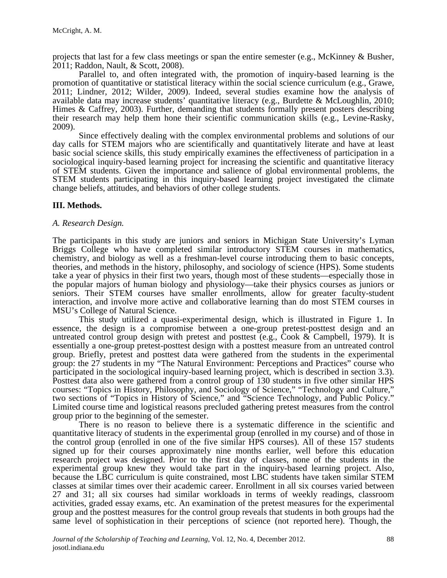projects that last for a few class meetings or span the entire semester (e.g., McKinney & Busher, 2011; Raddon, Nault, & Scott, 2008).

Parallel to, and often integrated with, the promotion of inquiry-based learning is the promotion of quantitative or statistical literacy within the social science curriculum (e.g., Grawe, 2011; Lindner, 2012; Wilder, 2009). Indeed, several studies examine how the analysis of available data may increase students' quantitative literacy (e.g., Burdette & McLoughlin, 2010; Himes & Caffrey, 2003). Further, demanding that students formally present posters describing their research may help them hone their scientific communication skills (e.g., Levine-Rasky, 2009).

Since effectively dealing with the complex environmental problems and solutions of our day calls for STEM majors who are scientifically and quantitatively literate and have at least basic social science skills, this study empirically examines the effectiveness of participation in a sociological inquiry-based learning project for increasing the scientific and quantitative literacy of STEM students. Given the importance and salience of global environmental problems, the STEM students participating in this inquiry-based learning project investigated the climate change beliefs, attitudes, and behaviors of other college students.

### **III. Methods.**

#### *A. Research Design.*

The participants in this study are juniors and seniors in Michigan State University's Lyman Briggs College who have completed similar introductory STEM courses in mathematics, chemistry, and biology as well as a freshman-level course introducing them to basic concepts, theories, and methods in the history, philosophy, and sociology of science (HPS). Some students take a year of physics in their first two years, though most of these students—especially those in the popular majors of human biology and physiology—take their physics courses as juniors or seniors. Their STEM courses have smaller enrollments, allow for greater faculty-student interaction, and involve more active and collaborative learning than do most STEM courses in MSU's College of Natural Science.

This study utilized a quasi-experimental design, which is illustrated in Figure 1. In essence, the design is a compromise between a one-group pretest-posttest design and an untreated control group design with pretest and posttest (e.g., Cook & Campbell, 1979). It is essentially a one-group pretest-posttest design with a posttest measure from an untreated control group. Briefly, pretest and posttest data were gathered from the students in the experimental group: the 27 students in my "The Natural Environment: Perceptions and Practices" course who participated in the sociological inquiry-based learning project, which is described in section 3.3). Posttest data also were gathered from a control group of 130 students in five other similar HPS courses: "Topics in History, Philosophy, and Sociology of Science," "Technology and Culture," two sections of "Topics in History of Science," and "Science Technology, and Public Policy." Limited course time and logistical reasons precluded gathering pretest measures from the control group prior to the beginning of the semester.

There is no reason to believe there is a systematic difference in the scientific and quantitative literacy of students in the experimental group (enrolled in my course) and of those in the control group (enrolled in one of the five similar HPS courses). All of these 157 students signed up for their courses approximately nine months earlier, well before this education research project was designed. Prior to the first day of classes, none of the students in the experimental group knew they would take part in the inquiry-based learning project. Also, because the LBC curriculum is quite constrained, most LBC students have taken similar STEM classes at similar times over their academic career. Enrollment in all six courses varied between 27 and 31; all six courses had similar workloads in terms of weekly readings, classroom activities, graded essay exams, etc. An examination of the pretest measures for the experimental group and the posttest measures for the control group reveals that students in both groups had the same level of sophistication in their perceptions of science (not reported here). Though, the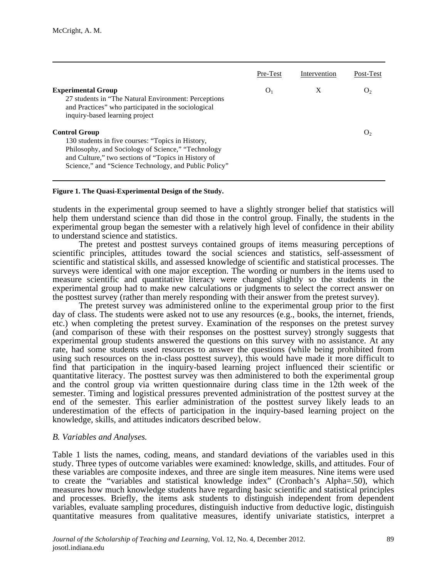|                                                                                                                                                                                                                                                 | Pre-Test       | Intervention | Post-Test      |
|-------------------------------------------------------------------------------------------------------------------------------------------------------------------------------------------------------------------------------------------------|----------------|--------------|----------------|
| <b>Experimental Group</b><br>27 students in "The Natural Environment: Perceptions"<br>and Practices" who participated in the sociological<br>inquiry-based learning project                                                                     | O <sub>1</sub> | X            | $\mathbf{O}_2$ |
| <b>Control Group</b><br>130 students in five courses: "Topics in History,<br>Philosophy, and Sociology of Science," "Technology<br>and Culture," two sections of "Topics in History of<br>Science," and "Science Technology, and Public Policy" |                |              |                |

#### **Figure 1. The Quasi-Experimental Design of the Study.**

students in the experimental group seemed to have a slightly stronger belief that statistics will help them understand science than did those in the control group. Finally, the students in the experimental group began the semester with a relatively high level of confidence in their ability to understand science and statistics.

The pretest and posttest surveys contained groups of items measuring perceptions of scientific principles, attitudes toward the social sciences and statistics, self-assessment of scientific and statistical skills, and assessed knowledge of scientific and statistical processes. The surveys were identical with one major exception. The wording or numbers in the items used to measure scientific and quantitative literacy were changed slightly so the students in the experimental group had to make new calculations or judgments to select the correct answer on the posttest survey (rather than merely responding with their answer from the pretest survey).

The pretest survey was administered online to the experimental group prior to the first day of class. The students were asked not to use any resources (e.g., books, the internet, friends, etc.) when completing the pretest survey. Examination of the responses on the pretest survey (and comparison of these with their responses on the posttest survey) strongly suggests that experimental group students answered the questions on this survey with no assistance. At any rate, had some students used resources to answer the questions (while being prohibited from using such resources on the in-class posttest survey), this would have made it more difficult to find that participation in the inquiry-based learning project influenced their scientific or quantitative literacy. The posttest survey was then administered to both the experimental group and the control group via written questionnaire during class time in the 12th week of the semester. Timing and logistical pressures prevented administration of the posttest survey at the end of the semester. This earlier administration of the posttest survey likely leads to an underestimation of the effects of participation in the inquiry-based learning project on the knowledge, skills, and attitudes indicators described below.

#### *B. Variables and Analyses.*

Table 1 lists the names, coding, means, and standard deviations of the variables used in this study. Three types of outcome variables were examined: knowledge, skills, and attitudes. Four of these variables are composite indexes, and three are single item measures. Nine items were used to create the "variables and statistical knowledge index" (Cronbach's Alpha=.50), which measures how much knowledge students have regarding basic scientific and statistical principles and processes. Briefly, the items ask students to distinguish independent from dependent variables, evaluate sampling procedures, distinguish inductive from deductive logic, distinguish quantitative measures from qualitative measures, identify univariate statistics, interpret a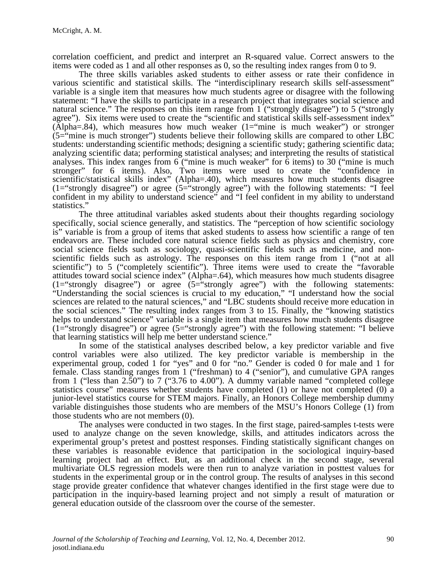correlation coefficient, and predict and interpret an R-squared value. Correct answers to the items were coded as 1 and all other responses as 0, so the resulting index ranges from 0 to 9.

The three skills variables asked students to either assess or rate their confidence in various scientific and statistical skills. The "interdisciplinary research skills self-assessment" variable is a single item that measures how much students agree or disagree with the following statement: "I have the skills to participate in a research project that integrates social science and natural science." The responses on this item range from 1 ("strongly disagree") to 5 ("strongly agree"). Six items were used to create the "scientific and statistical skills self-assessment index"  $(\overline{Alpha} = .84)$ , which measures how much weaker  $(1 = "mine is much weaker")$  or stronger  $(5-\tilde{ }$ "mine is much stronger") students believe their following skills are compared to other LBC students: understanding scientific methods; designing a scientific study; gathering scientific data; analyzing scientific data; performing statistical analyses; and interpreting the results of statistical analyses. This index ranges from 6 ("mine is much weaker" for 6 items) to 30 ("mine is much stronger" for 6 items). Also, Two items were used to create the "confidence in scientific/statistical skills index" (Alpha=.40), which measures how much students disagree (1="strongly disagree") or agree (5="strongly agree") with the following statements: "I feel confident in my ability to understand science" and "I feel confident in my ability to understand statistics."

The three attitudinal variables asked students about their thoughts regarding sociology specifically, social science generally, and statistics. The "perception of how scientific sociology is" variable is from a group of items that asked students to assess how scientific a range of ten endeavors are. These included core natural science fields such as physics and chemistry, core social science fields such as sociology, quasi-scientific fields such as medicine, and non-<br>scientific fields such as astrology. The responses on this item range from 1 ("not at all scientific") to 5 ("completely scientific"). Three items were used to create the "favorable attitudes toward social science index" (Alpha=.64), which measures how much students disagree (1="strongly disagree") or agree (5="strongly agree") with the following statements: "Understanding the social sciences is crucial to my education," "I understand how the social sciences are related to the natural sciences," and "LBC students should receive more education in the social sciences." The resulting index ranges from 3 to 15. Finally, the "knowing statistics helps to understand science" variable is a single item that measures how much students disagree (1="strongly disagree") or agree (5="strongly agree") with the following statement: "I believe that learning statistics will help me better understand science."

In some of the statistical analyses described below, a key predictor variable and five control variables were also utilized. The key predictor variable is membership in the experimental group, coded 1 for "yes" and 0 for "no." Gender is coded 0 for male and 1 for female. Class standing ranges from 1 ("freshman) to 4 ("senior"), and cumulative GPA ranges from 1 ("less than 2.50") to 7 ("3.76 to 4.00"). A dummy variable named "completed college statistics course" measures whether students have completed (1) or have not completed (0) a junior-level statistics course for STEM majors. Finally, an Honors College membership dummy variable distinguishes those students who are members of the MSU's Honors College (1) from those students who are not members (0).

The analyses were conducted in two stages. In the first stage, paired-samples t-tests were used to analyze change on the seven knowledge, skills, and attitudes indicators across the experimental group's pretest and posttest responses. Finding statistically significant changes on these variables is reasonable evidence that participation in the sociological inquiry-based learning project had an effect. But, as an additional check in the second stage, several multivariate OLS regression models were then run to analyze variation in posttest values for students in the experimental group or in the control group. The results of analyses in this second stage provide greater confidence that whatever changes identified in the first stage were due to participation in the inquiry-based learning project and not simply a result of maturation or general education outside of the classroom over the course of the semester.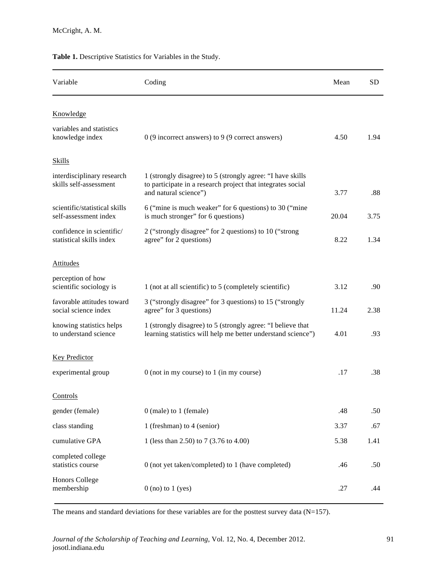| Table 1. Descriptive Statistics for Variables in the Study. |  |
|-------------------------------------------------------------|--|
|-------------------------------------------------------------|--|

| Variable                                               | Coding                                                                                                                                             | Mean  | SD   |
|--------------------------------------------------------|----------------------------------------------------------------------------------------------------------------------------------------------------|-------|------|
| Knowledge                                              |                                                                                                                                                    |       |      |
| variables and statistics<br>knowledge index            | $0$ (9 incorrect answers) to 9 (9 correct answers)                                                                                                 | 4.50  | 1.94 |
| <b>Skills</b>                                          |                                                                                                                                                    |       |      |
| interdisciplinary research<br>skills self-assessment   | 1 (strongly disagree) to 5 (strongly agree: "I have skills<br>to participate in a research project that integrates social<br>and natural science") | 3.77  | .88  |
| scientific/statistical skills<br>self-assessment index | 6 ("mine is much weaker" for 6 questions) to 30 ("mine"<br>is much stronger" for 6 questions)                                                      | 20.04 | 3.75 |
| confidence in scientific/<br>statistical skills index  | 2 ("strongly disagree" for 2 questions) to 10 ("strong<br>agree" for 2 questions)                                                                  | 8.22  | 1.34 |
| <b>Attitudes</b>                                       |                                                                                                                                                    |       |      |
| perception of how<br>scientific sociology is           | 1 (not at all scientific) to 5 (completely scientific)                                                                                             | 3.12  | .90  |
| favorable attitudes toward<br>social science index     | 3 ("strongly disagree" for 3 questions) to 15 ("strongly<br>agree" for 3 questions)                                                                | 11.24 | 2.38 |
| knowing statistics helps<br>to understand science      | 1 (strongly disagree) to 5 (strongly agree: "I believe that<br>learning statistics will help me better understand science")                        | 4.01  | .93  |
| Key Predictor                                          |                                                                                                                                                    |       |      |
| experimental group                                     | $0$ (not in my course) to $1$ (in my course)                                                                                                       | .17   | .38  |
| Controls                                               |                                                                                                                                                    |       |      |
| gender (female)                                        | $0$ (male) to 1 (female)                                                                                                                           | .48   | .50  |
| class standing                                         | 1 (freshman) to 4 (senior)                                                                                                                         | 3.37  | .67  |
| cumulative GPA                                         | 1 (less than 2.50) to 7 (3.76 to 4.00)                                                                                                             | 5.38  | 1.41 |
| completed college<br>statistics course                 | 0 (not yet taken/completed) to 1 (have completed)                                                                                                  | .46   | .50  |
| <b>Honors College</b><br>membership                    | $0$ (no) to $1$ (yes)                                                                                                                              | .27   | .44  |

The means and standard deviations for these variables are for the posttest survey data (N=157).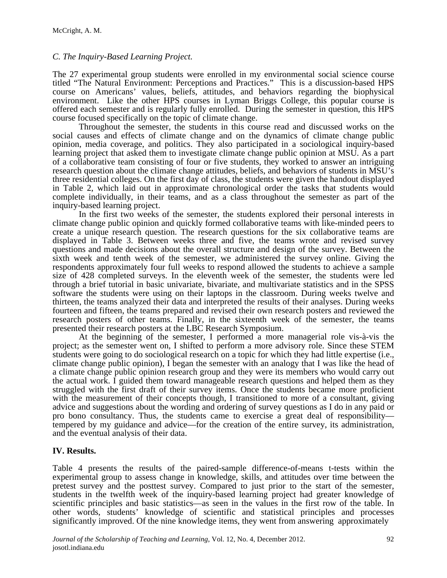# *C. The Inquiry-Based Learning Project.*

The 27 experimental group students were enrolled in my environmental social science course titled "The Natural Environment: Perceptions and Practices." This is a discussion-based HPS course on Americans' values, beliefs, attitudes, and behaviors regarding the biophysical environment. Like the other HPS courses in Lyman Briggs College, this popular course is offered each semester and is regularly fully enrolled. During the semester in question, this HPS course focused specifically on the topic of climate change.

Throughout the semester, the students in this course read and discussed works on the social causes and effects of climate change and on the dynamics of climate change public opinion, media coverage, and politics. They also participated in a sociological inquiry-based learning project that asked them to investigate climate change public opinion at MSU. As a part of a collaborative team consisting of four or five students, they worked to answer an intriguing research question about the climate change attitudes, beliefs, and behaviors of students in MSU's three residential colleges. On the first day of class, the students were given the handout displayed in Table 2, which laid out in approximate chronological order the tasks that students would complete individually, in their teams, and as a class throughout the semester as part of the inquiry-based learning project.

In the first two weeks of the semester, the students explored their personal interests in climate change public opinion and quickly formed collaborative teams with like-minded peers to create a unique research question. The research questions for the six collaborative teams are displayed in Table 3. Between weeks three and five, the teams wrote and revised survey questions and made decisions about the overall structure and design of the survey. Between the sixth week and tenth week of the semester, we administered the survey online. Giving the respondents approximately four full weeks to respond allowed the students to achieve a sample size of 428 completed surveys. In the eleventh week of the semester, the students were led through a brief tutorial in basic univariate, bivariate, and multivariate statistics and in the SPSS software the students were using on their laptops in the classroom. During weeks twelve and thirteen, the teams analyzed their data and interpreted the results of their analyses. During weeks fourteen and fifteen, the teams prepared and revised their own research posters and reviewed the research posters of other teams. Finally, in the sixteenth week of the semester, the teams presented their research posters at the LBC Research Symposium.

At the beginning of the semester, I performed a more managerial role vis-à-vis the project; as the semester went on, I shifted to perform a more advisory role. Since these STEM students were going to do sociological research on a topic for which they had little expertise (i.e., climate change public opinion), I began the semester with an analogy that I was like the head of a climate change public opinion research group and they were its members who would carry out the actual work. I guided them toward manageable research questions and helped them as they struggled with the first draft of their survey items. Once the students became more proficient with the measurement of their concepts though, I transitioned to more of a consultant, giving advice and suggestions about the wording and ordering of survey questions as I do in any paid or pro bono consultancy. Thus, the students came to exercise a great deal of responsibility tempered by my guidance and advice—for the creation of the entire survey, its administration, and the eventual analysis of their data.

### **IV. Results.**

Table 4 presents the results of the paired-sample difference-of-means t-tests within the experimental group to assess change in knowledge, skills, and attitudes over time between the pretest survey and the posttest survey. Compared to just prior to the start of the semester, students in the twelfth week of the inquiry-based learning project had greater knowledge of scientific principles and basic statistics—as seen in the values in the first row of the table. In other words, students' knowledge of scientific and statistical principles and processes significantly improved. Of the nine knowledge items, they went from answering approximately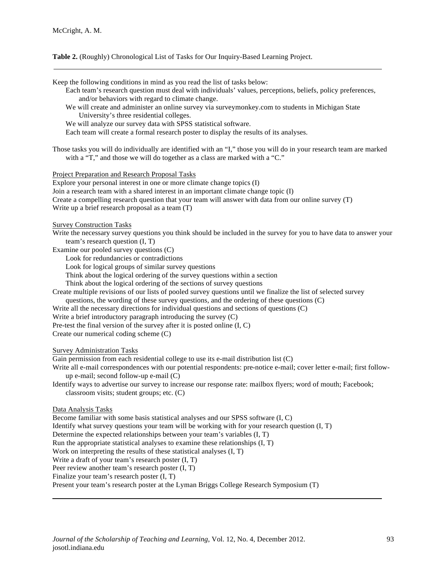#### **Table 2.** (Roughly) Chronological List of Tasks for Our Inquiry-Based Learning Project.

Keep the following conditions in mind as you read the list of tasks below: Each team's research question must deal with individuals' values, perceptions, beliefs, policy preferences, and/or behaviors with regard to climate change. We will create and administer an online survey via surveymonkey.com to students in Michigan State University's three residential colleges. We will analyze our survey data with SPSS statistical software. Each team will create a formal research poster to display the results of its analyses. Those tasks you will do individually are identified with an "I," those you will do in your research team are marked with a "T," and those we will do together as a class are marked with a "C." Project Preparation and Research Proposal Tasks Explore your personal interest in one or more climate change topics (I) Join a research team with a shared interest in an important climate change topic (I) Create a compelling research question that your team will answer with data from our online survey (T) Write up a brief research proposal as a team (T) Survey Construction Tasks Write the necessary survey questions you think should be included in the survey for you to have data to answer your team's research question (I, T) Examine our pooled survey questions (C) Look for redundancies or contradictions Look for logical groups of similar survey questions Think about the logical ordering of the survey questions within a section Think about the logical ordering of the sections of survey questions Create multiple revisions of our lists of pooled survey questions until we finalize the list of selected survey questions, the wording of these survey questions, and the ordering of these questions (C) Write all the necessary directions for individual questions and sections of questions (C) Write a brief introductory paragraph introducing the survey (C) Pre-test the final version of the survey after it is posted online (I, C) Create our numerical coding scheme (C) Survey Administration Tasks Gain permission from each residential college to use its e-mail distribution list (C) Write all e-mail correspondences with our potential respondents: pre-notice e-mail; cover letter e-mail; first followup e-mail; second follow-up e-mail (C) Identify ways to advertise our survey to increase our response rate: mailbox flyers; word of mouth; Facebook; classroom visits; student groups; etc. (C) Data Analysis Tasks Become familiar with some basis statistical analyses and our SPSS software (I, C) Identify what survey questions your team will be working with for your research question (I, T) Determine the expected relationships between your team's variables (I, T) Run the appropriate statistical analyses to examine these relationships (I, T) Work on interpreting the results of these statistical analyses (I, T) Write a draft of your team's research poster (I, T) Peer review another team's research poster (I, T) Finalize your team's research poster (I, T) Present your team's research poster at the Lyman Briggs College Research Symposium (T)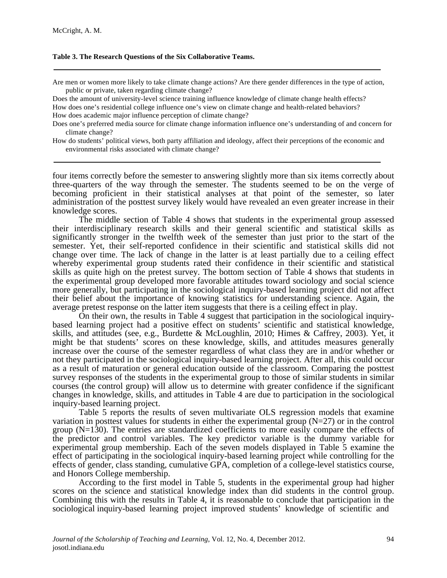#### **Table 3. The Research Questions of the Six Collaborative Teams.**

Are men or women more likely to take climate change actions? Are there gender differences in the type of action, public or private, taken regarding climate change?

Does the amount of university-level science training influence knowledge of climate change health effects? How does one's residential college influence one's view on climate change and health-related behaviors? How does academic major influence perception of climate change?

Does one's preferred media source for climate change information influence one's understanding of and concern for climate change?

How do students' political views, both party affiliation and ideology, affect their perceptions of the economic and environmental risks associated with climate change?

four items correctly before the semester to answering slightly more than six items correctly about three-quarters of the way through the semester. The students seemed to be on the verge of becoming proficient in their statistical analyses at that point of the semester, so later administration of the posttest survey likely would have revealed an even greater increase in their knowledge scores.

The middle section of Table 4 shows that students in the experimental group assessed their interdisciplinary research skills and their general scientific and statistical skills as significantly stronger in the twelfth week of the semester than just prior to the start of the semester. Yet, their self-reported confidence in their scientific and statistical skills did not change over time. The lack of change in the latter is at least partially due to a ceiling effect whereby experimental group students rated their confidence in their scientific and statistical skills as quite high on the pretest survey. The bottom section of Table 4 shows that students in the experimental group developed more favorable attitudes toward sociology and social science more generally, but participating in the sociological inquiry-based learning project did not affect their belief about the importance of knowing statistics for understanding science. Again, the average pretest response on the latter item suggests that there is a ceiling effect in play.

On their own, the results in Table 4 suggest that participation in the sociological inquirybased learning project had a positive effect on students' scientific and statistical knowledge, skills, and attitudes (see, e.g., Burdette & McLoughlin, 2010; Himes & Caffrey, 2003). Yet, it might be that students' scores on these knowledge, skills, and attitudes measures generally increase over the course of the semester regardless of what class they are in and/or whether or not they participated in the sociological inquiry-based learning project. After all, this could occur as a result of maturation or general education outside of the classroom. Comparing the posttest survey responses of the students in the experimental group to those of similar students in similar courses (the control group) will allow us to determine with greater confidence if the significant changes in knowledge, skills, and attitudes in Table 4 are due to participation in the sociological inquiry-based learning project.

Table 5 reports the results of seven multivariate OLS regression models that examine variation in posttest values for students in either the experimental group  $(N=27)$  or in the control group  $(N=130)$ . The entries are standardized coefficients to more easily compare the effects of the predictor and control variables. The key predictor variable is the dummy variable for experimental group membership. Each of the seven models displayed in Table 5 examine the effect of participating in the sociological inquiry-based learning project while controlling for the effects of gender, class standing, cumulative GPA, completion of a college-level statistics course, and Honors College membership.

According to the first model in Table 5, students in the experimental group had higher scores on the science and statistical knowledge index than did students in the control group. Combining this with the results in Table 4, it is reasonable to conclude that participation in the sociological inquiry-based learning project improved students' knowledge of scientific and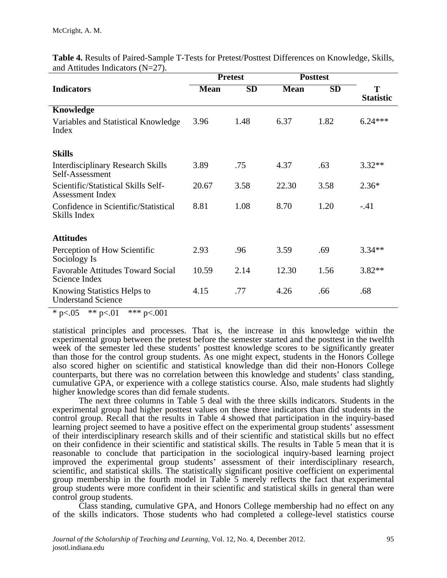|                                                             | <b>Pretest</b> |           | <b>Posttest</b> |           |                       |
|-------------------------------------------------------------|----------------|-----------|-----------------|-----------|-----------------------|
| <b>Indicators</b>                                           | <b>Mean</b>    | <b>SD</b> | <b>Mean</b>     | <b>SD</b> | T<br><b>Statistic</b> |
| Knowledge                                                   |                |           |                 |           |                       |
| Variables and Statistical Knowledge<br>Index                | 3.96           | 1.48      | 6.37            | 1.82      | $6.24***$             |
| <b>Skills</b>                                               |                |           |                 |           |                       |
| <b>Interdisciplinary Research Skills</b><br>Self-Assessment | 3.89           | .75       | 4.37            | .63       | $3.32**$              |
| Scientific/Statistical Skills Self-<br>Assessment Index     | 20.67          | 3.58      | 22.30           | 3.58      | $2.36*$               |
| Confidence in Scientific/Statistical<br>Skills Index        | 8.81           | 1.08      | 8.70            | 1.20      | $-.41$                |
| <b>Attitudes</b>                                            |                |           |                 |           |                       |
| Perception of How Scientific<br>Sociology Is                | 2.93           | .96       | 3.59            | .69       | $3.34**$              |
| <b>Favorable Attitudes Toward Social</b><br>Science Index   | 10.59          | 2.14      | 12.30           | 1.56      | $3.82**$              |
| Knowing Statistics Helps to<br><b>Understand Science</b>    | 4.15           | .77       | 4.26            | .66       | .68                   |

**Table 4.** Results of Paired-Sample T-Tests for Pretest/Posttest Differences on Knowledge, Skills, and Attitudes Indicators (N=27).

\* p<.05 \*\* p<.01 \*\*\* p<.001

statistical principles and processes. That is, the increase in this knowledge within the experimental group between the pretest before the semester started and the posttest in the twelfth week of the semester led these students' posttest knowledge scores to be significantly greater than those for the control group students. As one might expect, students in the Honors College also scored higher on scientific and statistical knowledge than did their non-Honors College counterparts, but there was no correlation between this knowledge and students' class standing, cumulative GPA, or experience with a college statistics course. Also, male students had slightly higher knowledge scores than did female students.

The next three columns in Table 5 deal with the three skills indicators. Students in the experimental group had higher posttest values on these three indicators than did students in the control group. Recall that the results in Table 4 showed that participation in the inquiry-based learning project seemed to have a positive effect on the experimental group students' assessment of their interdisciplinary research skills and of their scientific and statistical skills but no effect on their confidence in their scientific and statistical skills. The results in Table 5 mean that it is reasonable to conclude that participation in the sociological inquiry-based learning project improved the experimental group students' assessment of their interdisciplinary research, scientific, and statistical skills. The statistically significant positive coefficient on experimental group membership in the fourth model in Table 5 merely reflects the fact that experimental group students were more confident in their scientific and statistical skills in general than were control group students.

Class standing, cumulative GPA, and Honors College membership had no effect on any of the skills indicators. Those students who had completed a college-level statistics course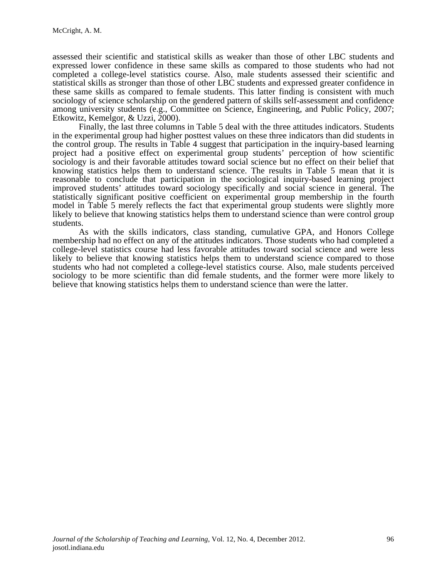assessed their scientific and statistical skills as weaker than those of other LBC students and expressed lower confidence in these same skills as compared to those students who had not completed a college-level statistics course. Also, male students assessed their scientific and statistical skills as stronger than those of other LBC students and expressed greater confidence in these same skills as compared to female students. This latter finding is consistent with much sociology of science scholarship on the gendered pattern of skills self-assessment and confidence among university students (e.g., Committee on Science, Engineering, and Public Policy, 2007; Etkowitz, Kemelgor, & Uzzi, 2000).

Finally, the last three columns in Table 5 deal with the three attitudes indicators. Students in the experimental group had higher posttest values on these three indicators than did students in the control group. The results in Table 4 suggest that participation in the inquiry-based learning project had a positive effect on experimental group students' perception of how scientific sociology is and their favorable attitudes toward social science but no effect on their belief that knowing statistics helps them to understand science. The results in Table 5 mean that it is reasonable to conclude that participation in the sociological inquiry-based learning project improved students' attitudes toward sociology specifically and social science in general. The statistically significant positive coefficient on experimental group membership in the fourth model in Table 5 merely reflects the fact that experimental group students were slightly more likely to believe that knowing statistics helps them to understand science than were control group students.

As with the skills indicators, class standing, cumulative GPA, and Honors College membership had no effect on any of the attitudes indicators. Those students who had completed a college-level statistics course had less favorable attitudes toward social science and were less likely to believe that knowing statistics helps them to understand science compared to those students who had not completed a college-level statistics course. Also, male students perceived sociology to be more scientific than did female students, and the former were more likely to believe that knowing statistics helps them to understand science than were the latter.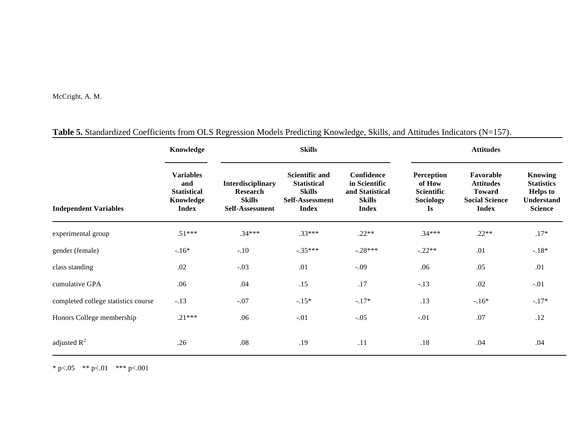McCright, A. M.

|                                     | Knowledge                                                                  | <b>Skills</b>                                                                   |                                                                                                 |                                                                                 | <b>Attitudes</b>                                                    |                                                                                         |                                                                                               |
|-------------------------------------|----------------------------------------------------------------------------|---------------------------------------------------------------------------------|-------------------------------------------------------------------------------------------------|---------------------------------------------------------------------------------|---------------------------------------------------------------------|-----------------------------------------------------------------------------------------|-----------------------------------------------------------------------------------------------|
| <b>Independent Variables</b>        | <b>Variables</b><br>and<br><b>Statistical</b><br>Knowledge<br><b>Index</b> | <b>Interdisciplinary</b><br><b>Research</b><br><b>Skills</b><br>Self-Assessment | <b>Scientific and</b><br><b>Statistical</b><br><b>Skills</b><br>Self-Assessment<br><b>Index</b> | Confidence<br>in Scientific<br>and Statistical<br><b>Skills</b><br><b>Index</b> | Perception<br>of How<br><b>Scientific</b><br><b>Sociology</b><br>Is | Favorable<br><b>Attitudes</b><br><b>Toward</b><br><b>Social Science</b><br><b>Index</b> | <b>Knowing</b><br><b>Statistics</b><br><b>Helps</b> to<br><b>Understand</b><br><b>Science</b> |
| experimental group                  | $.51***$                                                                   | $.34***$                                                                        | $.33***$                                                                                        | $.22**$                                                                         | $.34***$                                                            | $.22**$                                                                                 | $.17*$                                                                                        |
| gender (female)                     | $-.16*$                                                                    | $-.10$                                                                          | $-.35***$                                                                                       | $-.28***$                                                                       | $-.22**$                                                            | .01                                                                                     | $-.18*$                                                                                       |
| class standing                      | .02                                                                        | $-.03$                                                                          | .01                                                                                             | $-.09$                                                                          | .06                                                                 | .05                                                                                     | .01                                                                                           |
| cumulative GPA                      | .06                                                                        | .04                                                                             | .15                                                                                             | .17                                                                             | $-.13$                                                              | .02                                                                                     | $-.01$                                                                                        |
| completed college statistics course | $-.13$                                                                     | $-.07$                                                                          | $-.15*$                                                                                         | $-.17*$                                                                         | .13                                                                 | $-16*$                                                                                  | $-.17*$                                                                                       |
| Honors College membership           | $.21***$                                                                   | .06                                                                             | $-.01$                                                                                          | $-.05$                                                                          | $-.01$                                                              | .07                                                                                     | .12                                                                                           |
| adjusted $R^2$                      | .26                                                                        | .08                                                                             | .19                                                                                             | .11                                                                             | .18                                                                 | .04                                                                                     | .04                                                                                           |

# **Table 5.** Standardized Coefficients from OLS Regression Models Predicting Knowledge, Skills, and Attitudes Indicators (N=157).

\* p<.05 \*\* p<.01 \*\*\* p<.001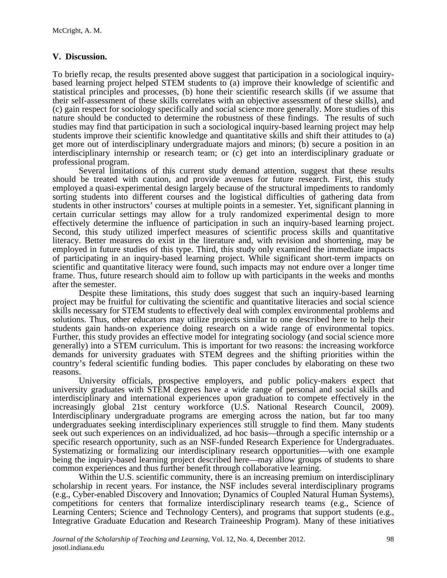## **V. Discussion.**

To briefly recap, the results presented above suggest that participation in a sociological inquirybased learning project helped STEM students to (a) improve their knowledge of scientific and statistical principles and processes, (b) hone their scientific research skills (if we assume that their self-assessment of these skills correlates with an objective assessment of these skills), and (c) gain respect for sociology specifically and social science more generally. More studies of this nature should be conducted to determine the robustness of these findings. The results of such studies may find that participation in such a sociological inquiry-based learning project may help students improve their scientific knowledge and quantitative skills and shift their attitudes to (a) get more out of interdisciplinary undergraduate majors and minors; (b) secure a position in an interdisciplinary internship or research team; or (c) get into an interdisciplinary graduate or professional program.

Several limitations of this current study demand attention, suggest that these results should be treated with caution, and provide avenues for future research. First, this study employed a quasi-experimental design largely because of the structural impediments to randomly sorting students into different courses and the logistical difficulties of gathering data from students in other instructors' courses at multiple points in a semester. Yet, significant planning in certain curricular settings may allow for a truly randomized experimental design to more effectively determine the influence of participation in such an inquiry-based learning project. Second, this study utilized imperfect measures of scientific process skills and quantitative literacy. Better measures do exist in the literature and, with revision and shortening, may be employed in future studies of this type. Third, this study only examined the immediate impacts of participating in an inquiry-based learning project. While significant short-term impacts on scientific and quantitative literacy were found, such impacts may not endure over a longer time frame. Thus, future research should aim to follow up with participants in the weeks and months after the semester.

Despite these limitations, this study does suggest that such an inquiry-based learning project may be fruitful for cultivating the scientific and quantitative literacies and social science skills necessary for STEM students to effectively deal with complex environmental problems and solutions. Thus, other educators may utilize projects similar to one described here to help their students gain hands-on experience doing research on a wide range of environmental topics. Further, this study provides an effective model for integrating sociology (and social science more generally) into a STEM curriculum. This is important for two reasons: the increasing workforce demands for university graduates with STEM degrees and the shifting priorities within the country's federal scientific funding bodies. This paper concludes by elaborating on these two reasons.

University officials, prospective employers, and public policy-makers expect that university graduates with STEM degrees have a wide range of personal and social skills and interdisciplinary and international experiences upon graduation to compete effectively in the increasingly global 21st century workforce (U.S. National Research Council, 2009). Interdisciplinary undergraduate programs are emerging across the nation, but far too many undergraduates seeking interdisciplinary experiences still struggle to find them. Many students seek out such experiences on an individualized, ad hoc basis—through a specific internship or a specific research opportunity, such as an NSF-funded Research Experience for Undergraduates. Systematizing or formalizing our interdisciplinary research opportunities—with one example being the inquiry-based learning project described here—may allow groups of students to share common experiences and thus further benefit through collaborative learning.

Within the U.S. scientific community, there is an increasing premium on interdisciplinary scholarship in recent years. For instance, the NSF includes several interdisciplinary programs (e.g., Cyber-enabled Discovery and Innovation; Dynamics of Coupled Natural Human Systems), competitions for centers that formalize interdisciplinary research teams (e.g., Science of Learning Centers; Science and Technology Centers), and programs that support students (e.g., Integrative Graduate Education and Research Traineeship Program). Many of these initiatives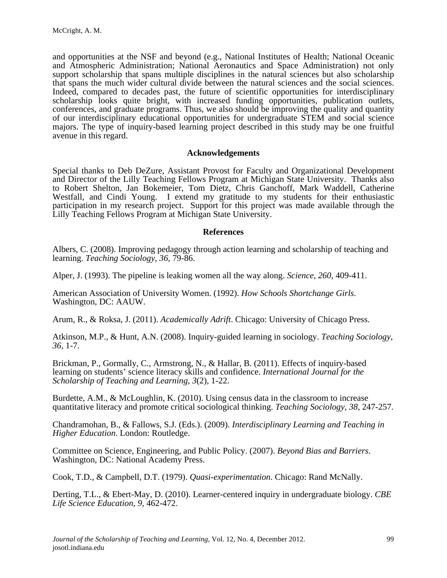and opportunities at the NSF and beyond (e.g., National Institutes of Health; National Oceanic and Atmospheric Administration; National Aeronautics and Space Administration) not only support scholarship that spans multiple disciplines in the natural sciences but also scholarship that spans the much wider cultural divide between the natural sciences and the social sciences. Indeed, compared to decades past, the future of scientific opportunities for interdisciplinary scholarship looks quite bright, with increased funding opportunities, publication outlets, conferences, and graduate programs. Thus, we also should be improving the quality and quantity of our interdisciplinary educational opportunities for undergraduate STEM and social science majors. The type of inquiry-based learning project described in this study may be one fruitful avenue in this regard.

#### **Acknowledgements**

Special thanks to Deb DeZure, Assistant Provost for Faculty and Organizational Development and Director of the Lilly Teaching Fellows Program at Michigan State University. Thanks also to Robert Shelton, Jan Bokemeier, Tom Dietz, Chris Ganchoff, Mark Waddell, Catherine Westfall, and Cindi Young. I extend my gratitude to my students for their enthusiastic participation in my research project. Support for this project was made available through the Lilly Teaching Fellows Program at Michigan State University.

#### **References**

Albers, C. (2008). Improving pedagogy through action learning and scholarship of teaching and learning. *Teaching Sociology*, *36*, 79-86.

Alper, J. (1993). The pipeline is leaking women all the way along. *Science*, *260*, 409-411.

American Association of University Women. (1992). *How Schools Shortchange Girls*. Washington, DC: AAUW.

Arum, R., & Roksa, J. (2011). *Academically Adrift*. Chicago: University of Chicago Press.

Atkinson, M.P., & Hunt, A.N. (2008). Inquiry-guided learning in sociology. *Teaching Sociology*, *36,* 1-7.

Brickman, P., Gormally, C., Armstrong, N., & Hallar, B. (2011). Effects of inquiry-based learning on students' science literacy skills and confidence. *International Journal for the Scholarship of Teaching and Learning*, *3*(2), 1-22.

Burdette, A.M., & McLoughlin, K. (2010). Using census data in the classroom to increase quantitative literacy and promote critical sociological thinking. *Teaching Sociology*, *38,* 247-257.

Chandramohan, B., & Fallows, S.J. (Eds.). (2009). *Interdisciplinary Learning and Teaching in Higher Education*. London: Routledge.

Committee on Science, Engineering, and Public Policy. (2007). *Beyond Bias and Barriers*. Washington, DC: National Academy Press.

Cook, T.D., & Campbell, D.T. (1979). *Quasi-experimentation*. Chicago: Rand McNally.

Derting, T.L., & Ebert-May, D. (2010). Learner-centered inquiry in undergraduate biology. *CBE Life Science Education*, *9,* 462-472.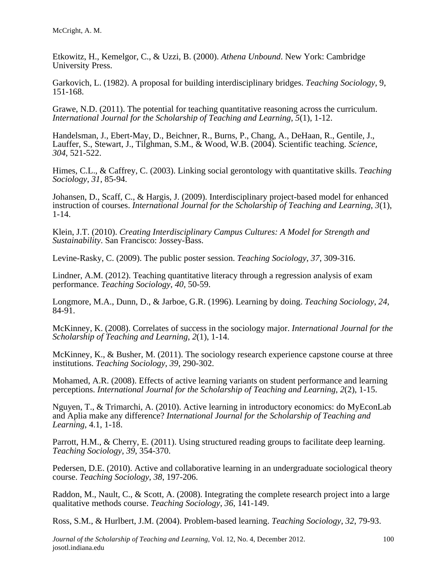Etkowitz, H., Kemelgor, C., & Uzzi, B. (2000). *Athena Unbound*. New York: Cambridge University Press.

Garkovich, L. (1982). A proposal for building interdisciplinary bridges. *Teaching Sociology*, 9, 151-168.

Grawe, N.D. (2011). The potential for teaching quantitative reasoning across the curriculum. *International Journal for the Scholarship of Teaching and Learning*, *5*(1), 1-12.

Handelsman, J., Ebert-May, D., Beichner, R., Burns, P., Chang, A., DeHaan, R., Gentile, J., Lauffer, S., Stewart, J., Tilghman, S.M., & Wood, W.B. (2004). Scientific teaching. *Science*, *304*, 521-522.

Himes, C.L., & Caffrey, C. (2003). Linking social gerontology with quantitative skills. *Teaching Sociology*, *31*, 85-94.

Johansen, D., Scaff, C., & Hargis, J. (2009). Interdisciplinary project-based model for enhanced instruction of courses. *International Journal for the Scholarship of Teaching and Learning*, *3*(1), 1-14.

Klein, J.T. (2010). *Creating Interdisciplinary Campus Cultures: A Model for Strength and Sustainability*. San Francisco: Jossey-Bass.

Levine-Rasky, C. (2009). The public poster session. *Teaching Sociology*, *37*, 309-316.

Lindner, A.M. (2012). Teaching quantitative literacy through a regression analysis of exam performance. *Teaching Sociology*, *40,* 50-59.

Longmore, M.A., Dunn, D., & Jarboe, G.R. (1996). Learning by doing. *Teaching Sociology*, *24,* 84-91.

McKinney, K. (2008). Correlates of success in the sociology major. *International Journal for the Scholarship of Teaching and Learning*, *2*(1), 1-14.

McKinney, K., & Busher, M. (2011). The sociology research experience capstone course at three institutions. *Teaching Sociology*, *39*, 290-302.

Mohamed, A.R. (2008). Effects of active learning variants on student performance and learning perceptions. *International Journal for the Scholarship of Teaching and Learning*, *2*(2), 1-15.

Nguyen, T., & Trimarchi, A. (2010). Active learning in introductory economics: do MyEconLab and Aplia make any difference? *International Journal for the Scholarship of Teaching and Learning*, 4.1, 1-18.

Parrott, H.M., & Cherry, E. (2011). Using structured reading groups to facilitate deep learning. *Teaching Sociology*, *39*, 354-370.

Pedersen, D.E. (2010). Active and collaborative learning in an undergraduate sociological theory course. *Teaching Sociology*, *38*, 197-206.

Raddon, M., Nault, C., & Scott, A. (2008). Integrating the complete research project into a large qualitative methods course. *Teaching Sociology*, *36*, 141-149.

Ross, S.M., & Hurlbert, J.M. (2004). Problem-based learning. *Teaching Sociology*, *32*, 79-93.